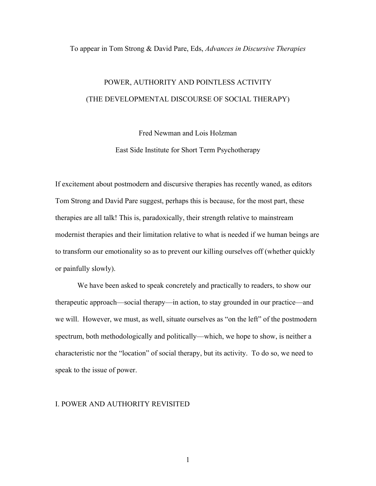## To appear in Tom Strong & David Pare, Eds, *Advances in Discursive Therapies*

## POWER, AUTHORITY AND POINTLESS ACTIVITY (THE DEVELOPMENTAL DISCOURSE OF SOCIAL THERAPY)

Fred Newman and Lois Holzman East Side Institute for Short Term Psychotherapy

If excitement about postmodern and discursive therapies has recently waned, as editors Tom Strong and David Pare suggest, perhaps this is because, for the most part, these therapies are all talk! This is, paradoxically, their strength relative to mainstream modernist therapies and their limitation relative to what is needed if we human beings are to transform our emotionality so as to prevent our killing ourselves off (whether quickly or painfully slowly).

We have been asked to speak concretely and practically to readers, to show our therapeutic approach—social therapy—in action, to stay grounded in our practice—and we will. However, we must, as well, situate ourselves as "on the left" of the postmodern spectrum, both methodologically and politically—which, we hope to show, is neither a characteristic nor the "location" of social therapy, but its activity. To do so, we need to speak to the issue of power.

## I. POWER AND AUTHORITY REVISITED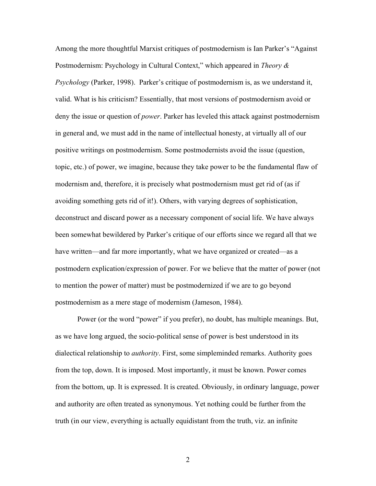Among the more thoughtful Marxist critiques of postmodernism is Ian Parker's "Against Postmodernism: Psychology in Cultural Context," which appeared in *Theory & Psychology* (Parker, 1998). Parker's critique of postmodernism is, as we understand it, valid. What is his criticism? Essentially, that most versions of postmodernism avoid or deny the issue or question of *power*. Parker has leveled this attack against postmodernism in general and, we must add in the name of intellectual honesty, at virtually all of our positive writings on postmodernism. Some postmodernists avoid the issue (question, topic, etc.) of power, we imagine, because they take power to be the fundamental flaw of modernism and, therefore, it is precisely what postmodernism must get rid of (as if avoiding something gets rid of it!). Others, with varying degrees of sophistication, deconstruct and discard power as a necessary component of social life. We have always been somewhat bewildered by Parker's critique of our efforts since we regard all that we have written—and far more importantly, what we have organized or created—as a postmodern explication/expression of power. For we believe that the matter of power (not to mention the power of matter) must be postmodernized if we are to go beyond postmodernism as a mere stage of modernism (Jameson, 1984).

Power (or the word "power" if you prefer), no doubt, has multiple meanings. But, as we have long argued, the socio-political sense of power is best understood in its dialectical relationship to *authority*. First, some simpleminded remarks. Authority goes from the top, down. It is imposed. Most importantly, it must be known. Power comes from the bottom, up. It is expressed. It is created. Obviously, in ordinary language, power and authority are often treated as synonymous. Yet nothing could be further from the truth (in our view, everything is actually equidistant from the truth, viz. an infinite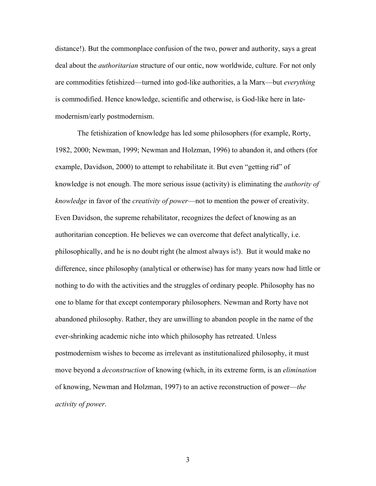distance!). But the commonplace confusion of the two, power and authority, says a great deal about the *authoritarian* structure of our ontic, now worldwide, culture. For not only are commodities fetishized—turned into god-like authorities, a la Marx—but *everything* is commodified. Hence knowledge, scientific and otherwise, is God-like here in latemodernism/early postmodernism.

The fetishization of knowledge has led some philosophers (for example, Rorty, 1982, 2000; Newman, 1999; Newman and Holzman, 1996) to abandon it, and others (for example, Davidson, 2000) to attempt to rehabilitate it. But even "getting rid" of knowledge is not enough. The more serious issue (activity) is eliminating the *authority of knowledge* in favor of the *creativity of power*—not to mention the power of creativity. Even Davidson, the supreme rehabilitator, recognizes the defect of knowing as an authoritarian conception. He believes we can overcome that defect analytically, i.e. philosophically, and he is no doubt right (he almost always is!). But it would make no difference, since philosophy (analytical or otherwise) has for many years now had little or nothing to do with the activities and the struggles of ordinary people. Philosophy has no one to blame for that except contemporary philosophers. Newman and Rorty have not abandoned philosophy. Rather, they are unwilling to abandon people in the name of the ever-shrinking academic niche into which philosophy has retreated. Unless postmodernism wishes to become as irrelevant as institutionalized philosophy, it must move beyond a *deconstruction* of knowing (which, in its extreme form, is an *elimination* of knowing, Newman and Holzman, 1997) to an active reconstruction of power—*the activity of power*.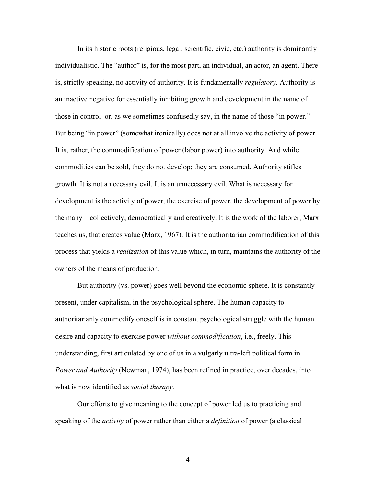In its historic roots (religious, legal, scientific, civic, etc.) authority is dominantly individualistic. The "author" is, for the most part, an individual, an actor, an agent. There is, strictly speaking, no activity of authority. It is fundamentally *regulatory.* Authority is an inactive negative for essentially inhibiting growth and development in the name of those in control–or, as we sometimes confusedly say, in the name of those "in power." But being "in power" (somewhat ironically) does not at all involve the activity of power. It is, rather, the commodification of power (labor power) into authority. And while commodities can be sold, they do not develop; they are consumed. Authority stifles growth. It is not a necessary evil. It is an unnecessary evil. What is necessary for development is the activity of power, the exercise of power, the development of power by the many—collectively, democratically and creatively. It is the work of the laborer, Marx teaches us, that creates value (Marx, 1967). It is the authoritarian commodification of this process that yields a *realization* of this value which, in turn, maintains the authority of the owners of the means of production.

But authority (vs. power) goes well beyond the economic sphere. It is constantly present, under capitalism, in the psychological sphere. The human capacity to authoritarianly commodify oneself is in constant psychological struggle with the human desire and capacity to exercise power *without commodification*, i.e., freely. This understanding, first articulated by one of us in a vulgarly ultra-left political form in *Power and Authority* (Newman, 1974), has been refined in practice, over decades, into what is now identified as *social therapy.*

Our efforts to give meaning to the concept of power led us to practicing and speaking of the *activity* of power rather than either a *definition* of power (a classical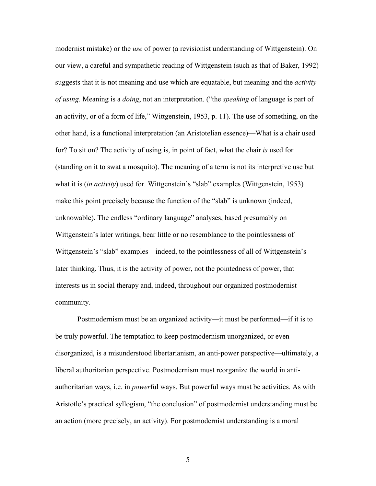modernist mistake) or the *use* of power (a revisionist understanding of Wittgenstein). On our view, a careful and sympathetic reading of Wittgenstein (such as that of Baker, 1992) suggests that it is not meaning and use which are equatable, but meaning and the *activity of using*. Meaning is a *doing*, not an interpretation. ("the *speaking* of language is part of an activity, or of a form of life," Wittgenstein, 1953, p. 11). The use of something, on the other hand, is a functional interpretation (an Aristotelian essence)—What is a chair used for? To sit on? The activity of using is, in point of fact, what the chair *is* used for (standing on it to swat a mosquito). The meaning of a term is not its interpretive use but what it is *(in activity)* used for. Wittgenstein's "slab" examples (Wittgenstein, 1953) make this point precisely because the function of the "slab" is unknown (indeed, unknowable). The endless "ordinary language" analyses, based presumably on Wittgenstein's later writings, bear little or no resemblance to the pointlessness of Wittgenstein's "slab" examples—indeed, to the pointlessness of all of Wittgenstein's later thinking. Thus, it is the activity of power, not the pointedness of power, that interests us in social therapy and, indeed, throughout our organized postmodernist community.

Postmodernism must be an organized activity—it must be performed—if it is to be truly powerful. The temptation to keep postmodernism unorganized, or even disorganized, is a misunderstood libertarianism, an anti-power perspective—ultimately, a liberal authoritarian perspective. Postmodernism must reorganize the world in antiauthoritarian ways, i.e. in *power*ful ways. But powerful ways must be activities. As with Aristotle's practical syllogism, "the conclusion" of postmodernist understanding must be an action (more precisely, an activity). For postmodernist understanding is a moral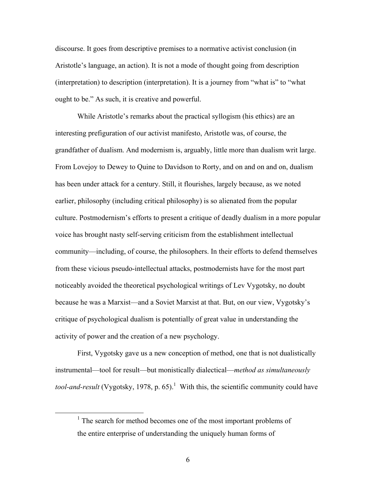<span id="page-5-0"></span>discourse. It goes from descriptive premises to a normative activist conclusion (in Aristotle's language, an action). It is not a mode of thought going from description (interpretation) to description (interpretation). It is a journey from "what is" to "what ought to be." As such, it is creative and powerful.

While Aristotle's remarks about the practical syllogism (his ethics) are an interesting prefiguration of our activist manifesto, Aristotle was, of course, the grandfather of dualism. And modernism is, arguably, little more than dualism writ large. From Lovejoy to Dewey to Quine to Davidson to Rorty, and on and on and on, dualism has been under attack for a century. Still, it flourishes, largely because, as we noted earlier, philosophy (including critical philosophy) is so alienated from the popular culture. Postmodernism's efforts to present a critique of deadly dualism in a more popular voice has brought nasty self-serving criticism from the establishment intellectual community—including, of course, the philosophers. In their efforts to defend themselves from these vicious pseudo-intellectual attacks, postmodernists have for the most part noticeably avoided the theoretical psychological writings of Lev Vygotsky, no doubt because he was a Marxist—and a Soviet Marxist at that. But, on our view, Vygotsky's critique of psychological dualism is potentially of great value in understanding the activity of power and the creation of a new psychology.

First, Vygotsky gave us a new conception of method, one that is not dualistically instrumental—tool for result—but monistically dialectical—*method as simultaneously tool-and-result* (Vygotsky, [1](#page-5-0)978, p. 65).<sup>1</sup> With this, the scientific community could have

<sup>&</sup>lt;u>1</u> <sup>1</sup> The search for method becomes one of the most important problems of the entire enterprise of understanding the uniquely human forms of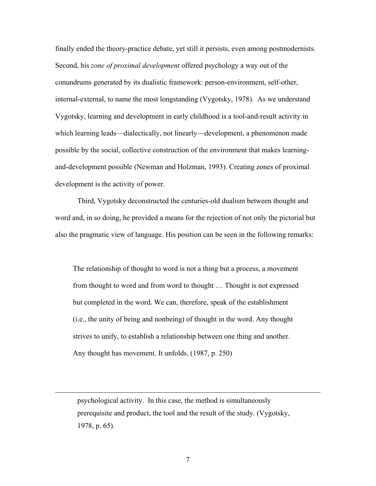finally ended the theory-practice debate, yet still it persists, even among postmodernists. Second, his *zone of proximal development* offered psychology a way out of the conundrums generated by its dualistic framework: person-environment, self-other, internal-external, to name the most longstanding (Vygotsky, 1978). As we understand Vygotsky, learning and development in early childhood is a tool-and-result activity in which learning leads—dialectically, not linearly—development, a phenomenon made possible by the social, collective construction of the environment that makes learningand-development possible (Newman and Holzman, 1993). Creating zones of proximal development is the activity of power.

Third, Vygotsky deconstructed the centuries-old dualism between thought and word and, in so doing, he provided a means for the rejection of not only the pictorial but also the pragmatic view of language. His position can be seen in the following remarks:

The relationship of thought to word is not a thing but a process, a movement from thought to word and from word to thought … Thought is not expressed but completed in the word. We can, therefore, speak of the establishment (i.e., the unity of being and nonbeing) of thought in the word. Any thought strives to unify, to establish a relationship between one thing and another. Any thought has movement. It unfolds. (1987, p. 250)

psychological activity. In this case, the method is simultaneously prerequisite and product, the tool and the result of the study. (Vygotsky, 1978, p. 65).

 $\overline{a}$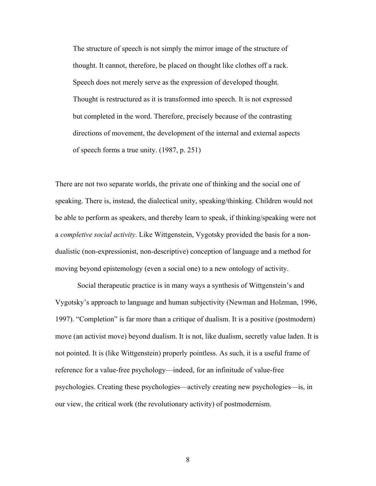The structure of speech is not simply the mirror image of the structure of thought. It cannot, therefore, be placed on thought like clothes off a rack. Speech does not merely serve as the expression of developed thought. Thought is restructured as it is transformed into speech. It is not expressed but completed in the word. Therefore, precisely because of the contrasting directions of movement, the development of the internal and external aspects of speech forms a true unity. (1987, p. 251)

There are not two separate worlds, the private one of thinking and the social one of speaking. There is, instead, the dialectical unity, speaking/thinking. Children would not be able to perform as speakers, and thereby learn to speak, if thinking/speaking were not a *completive social activity*. Like Wittgenstein, Vygotsky provided the basis for a nondualistic (non-expressionist, non-descriptive) conception of language and a method for moving beyond epistemology (even a social one) to a new ontology of activity.

Social therapeutic practice is in many ways a synthesis of Wittgenstein's and Vygotsky's approach to language and human subjectivity (Newman and Holzman, 1996, 1997). "Completion" is far more than a critique of dualism. It is a positive (postmodern) move (an activist move) beyond dualism. It is not, like dualism, secretly value laden. It is not pointed. It is (like Wittgenstein) properly pointless. As such, it is a useful frame of reference for a value-free psychology—indeed, for an infinitude of value-free psychologies. Creating these psychologies—actively creating new psychologies—is, in our view, the critical work (the revolutionary activity) of postmodernism.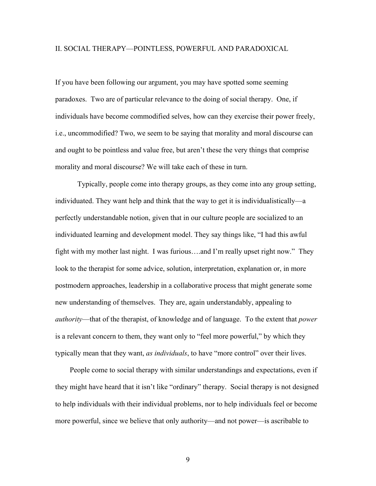## II. SOCIAL THERAPY—POINTLESS, POWERFUL AND PARADOXICAL

If you have been following our argument, you may have spotted some seeming paradoxes. Two are of particular relevance to the doing of social therapy. One, if individuals have become commodified selves, how can they exercise their power freely, i.e., uncommodified? Two, we seem to be saying that morality and moral discourse can and ought to be pointless and value free, but aren't these the very things that comprise morality and moral discourse? We will take each of these in turn.

Typically, people come into therapy groups, as they come into any group setting, individuated. They want help and think that the way to get it is individualistically—a perfectly understandable notion, given that in our culture people are socialized to an individuated learning and development model. They say things like, "I had this awful fight with my mother last night. I was furious….and I'm really upset right now." They look to the therapist for some advice, solution, interpretation, explanation or, in more postmodern approaches, leadership in a collaborative process that might generate some new understanding of themselves. They are, again understandably, appealing to *authority*—that of the therapist, of knowledge and of language. To the extent that *power* is a relevant concern to them, they want only to "feel more powerful," by which they typically mean that they want, *as individuals*, to have "more control" over their lives.

People come to social therapy with similar understandings and expectations, even if they might have heard that it isn't like "ordinary" therapy. Social therapy is not designed to help individuals with their individual problems, nor to help individuals feel or become more powerful, since we believe that only authority—and not power—is ascribable to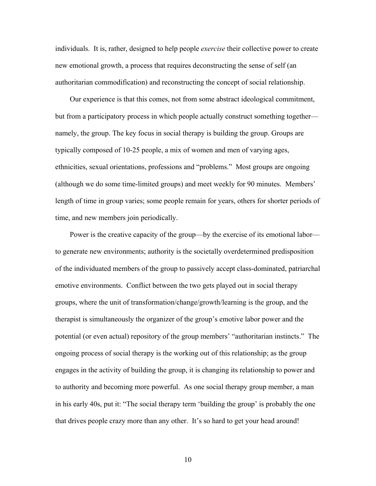individuals. It is, rather, designed to help people *exercise* their collective power to create new emotional growth, a process that requires deconstructing the sense of self (an authoritarian commodification) and reconstructing the concept of social relationship.

Our experience is that this comes, not from some abstract ideological commitment, but from a participatory process in which people actually construct something together namely, the group. The key focus in social therapy is building the group. Groups are typically composed of 10-25 people, a mix of women and men of varying ages, ethnicities, sexual orientations, professions and "problems." Most groups are ongoing (although we do some time-limited groups) and meet weekly for 90 minutes. Members' length of time in group varies; some people remain for years, others for shorter periods of time, and new members join periodically.

Power is the creative capacity of the group—by the exercise of its emotional labor to generate new environments; authority is the societally overdetermined predisposition of the individuated members of the group to passively accept class-dominated, patriarchal emotive environments. Conflict between the two gets played out in social therapy groups, where the unit of transformation/change/growth/learning is the group, and the therapist is simultaneously the organizer of the group's emotive labor power and the potential (or even actual) repository of the group members' "authoritarian instincts." The ongoing process of social therapy is the working out of this relationship; as the group engages in the activity of building the group, it is changing its relationship to power and to authority and becoming more powerful. As one social therapy group member, a man in his early 40s, put it: "The social therapy term 'building the group' is probably the one that drives people crazy more than any other. It's so hard to get your head around!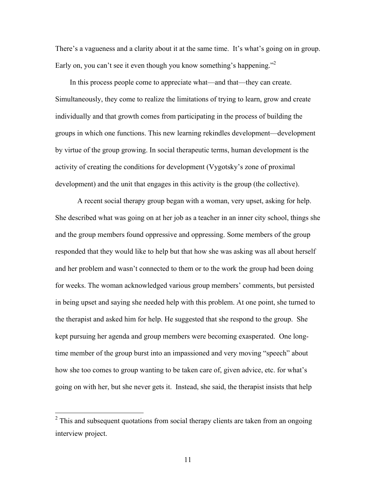There's a vagueness and a clarity about it at the same time. It's what's going on in group. Early on, you can't see it even though you know something's happening."<sup>[2](#page-10-0)</sup>

In this process people come to appreciate what—and that—they can create. Simultaneously, they come to realize the limitations of trying to learn, grow and create individually and that growth comes from participating in the process of building the groups in which one functions. This new learning rekindles development—development by virtue of the group growing. In social therapeutic terms, human development is the activity of creating the conditions for development (Vygotsky's zone of proximal development) and the unit that engages in this activity is the group (the collective).

A recent social therapy group began with a woman, very upset, asking for help. She described what was going on at her job as a teacher in an inner city school, things she and the group members found oppressive and oppressing. Some members of the group responded that they would like to help but that how she was asking was all about herself and her problem and wasn't connected to them or to the work the group had been doing for weeks. The woman acknowledged various group members' comments, but persisted in being upset and saying she needed help with this problem. At one point, she turned to the therapist and asked him for help. He suggested that she respond to the group. She kept pursuing her agenda and group members were becoming exasperated. One longtime member of the group burst into an impassioned and very moving "speech" about how she too comes to group wanting to be taken care of, given advice, etc. for what's going on with her, but she never gets it. Instead, she said, the therapist insists that help

<span id="page-10-0"></span> $2$  This and subsequent quotations from social therapy clients are taken from an ongoing interview project.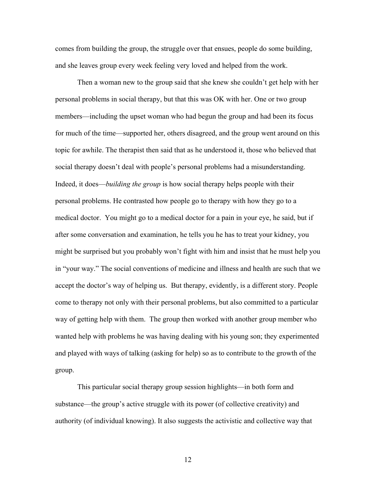comes from building the group, the struggle over that ensues, people do some building, and she leaves group every week feeling very loved and helped from the work.

Then a woman new to the group said that she knew she couldn't get help with her personal problems in social therapy, but that this was OK with her. One or two group members—including the upset woman who had begun the group and had been its focus for much of the time—supported her, others disagreed, and the group went around on this topic for awhile. The therapist then said that as he understood it, those who believed that social therapy doesn't deal with people's personal problems had a misunderstanding. Indeed, it does—*building the group* is how social therapy helps people with their personal problems. He contrasted how people go to therapy with how they go to a medical doctor. You might go to a medical doctor for a pain in your eye, he said, but if after some conversation and examination, he tells you he has to treat your kidney, you might be surprised but you probably won't fight with him and insist that he must help you in "your way." The social conventions of medicine and illness and health are such that we accept the doctor's way of helping us. But therapy, evidently, is a different story. People come to therapy not only with their personal problems, but also committed to a particular way of getting help with them. The group then worked with another group member who wanted help with problems he was having dealing with his young son; they experimented and played with ways of talking (asking for help) so as to contribute to the growth of the group.

This particular social therapy group session highlights—in both form and substance—the group's active struggle with its power (of collective creativity) and authority (of individual knowing). It also suggests the activistic and collective way that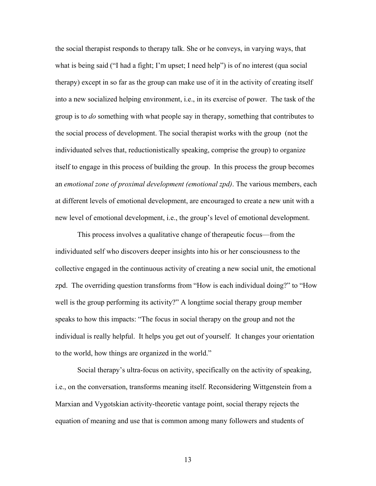the social therapist responds to therapy talk. She or he conveys, in varying ways, that what is being said ("I had a fight; I'm upset; I need help") is of no interest (qua social therapy) except in so far as the group can make use of it in the activity of creating itself into a new socialized helping environment, i.e., in its exercise of power. The task of the group is to *do* something with what people say in therapy, something that contributes to the social process of development. The social therapist works with the group (not the individuated selves that, reductionistically speaking, comprise the group) to organize itself to engage in this process of building the group. In this process the group becomes an *emotional zone of proximal development (emotional zpd)*. The various members, each at different levels of emotional development, are encouraged to create a new unit with a new level of emotional development, i.e., the group's level of emotional development.

This process involves a qualitative change of therapeutic focus—from the individuated self who discovers deeper insights into his or her consciousness to the collective engaged in the continuous activity of creating a new social unit, the emotional zpd. The overriding question transforms from "How is each individual doing?" to "How well is the group performing its activity?" A longtime social therapy group member speaks to how this impacts: "The focus in social therapy on the group and not the individual is really helpful. It helps you get out of yourself. It changes your orientation to the world, how things are organized in the world."

Social therapy's ultra-focus on activity, specifically on the activity of speaking, i.e., on the conversation, transforms meaning itself. Reconsidering Wittgenstein from a Marxian and Vygotskian activity-theoretic vantage point, social therapy rejects the equation of meaning and use that is common among many followers and students of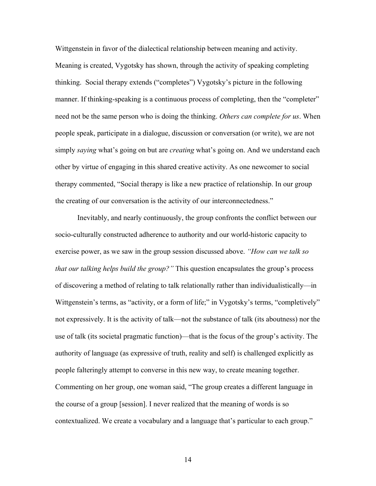Wittgenstein in favor of the dialectical relationship between meaning and activity. Meaning is created, Vygotsky has shown, through the activity of speaking completing thinking. Social therapy extends ("completes") Vygotsky's picture in the following manner. If thinking-speaking is a continuous process of completing, then the "completer" need not be the same person who is doing the thinking. *Others can complete for us*. When people speak, participate in a dialogue, discussion or conversation (or write), we are not simply *saying* what's going on but are *creating* what's going on. And we understand each other by virtue of engaging in this shared creative activity. As one newcomer to social therapy commented, "Social therapy is like a new practice of relationship. In our group the creating of our conversation is the activity of our interconnectedness."

Inevitably, and nearly continuously, the group confronts the conflict between our socio-culturally constructed adherence to authority and our world-historic capacity to exercise power, as we saw in the group session discussed above. *"How can we talk so that our talking helps build the group?"* This question encapsulates the group's process of discovering a method of relating to talk relationally rather than individualistically—in Wittgenstein's terms, as "activity, or a form of life;" in Vygotsky's terms, "completively" not expressively. It is the activity of talk—not the substance of talk (its aboutness) nor the use of talk (its societal pragmatic function)—that is the focus of the group's activity. The authority of language (as expressive of truth, reality and self) is challenged explicitly as people falteringly attempt to converse in this new way, to create meaning together. Commenting on her group, one woman said, "The group creates a different language in the course of a group [session]. I never realized that the meaning of words is so contextualized. We create a vocabulary and a language that's particular to each group."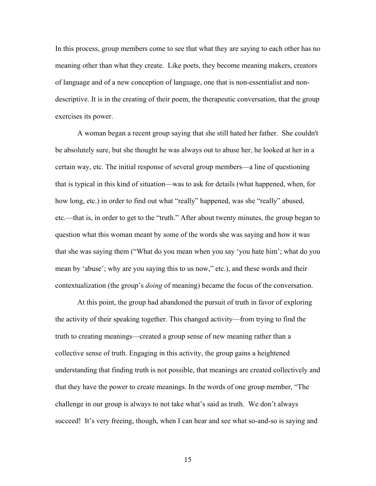In this process, group members come to see that what they are saying to each other has no meaning other than what they create. Like poets, they become meaning makers, creators of language and of a new conception of language, one that is non-essentialist and nondescriptive. It is in the creating of their poem, the therapeutic conversation, that the group exercises its power.

A woman began a recent group saying that she still hated her father. She couldn't be absolutely sure, but she thought he was always out to abuse her, he looked at her in a certain way, etc. The initial response of several group members—a line of questioning that is typical in this kind of situation—was to ask for details (what happened, when, for how long, etc.) in order to find out what "really" happened, was she "really" abused, etc.—that is, in order to get to the "truth." After about twenty minutes, the group began to question what this woman meant by some of the words she was saying and how it was that she was saying them ("What do you mean when you say 'you hate him'; what do you mean by 'abuse'; why are you saying this to us now," etc.), and these words and their contextualization (the group's *doing* of meaning) became the focus of the conversation.

At this point, the group had abandoned the pursuit of truth in favor of exploring the activity of their speaking together. This changed activity—from trying to find the truth to creating meanings—created a group sense of new meaning rather than a collective sense of truth. Engaging in this activity, the group gains a heightened understanding that finding truth is not possible, that meanings are created collectively and that they have the power to create meanings. In the words of one group member, "The challenge in our group is always to not take what's said as truth. We don't always succeed! It's very freeing, though, when I can hear and see what so-and-so is saying and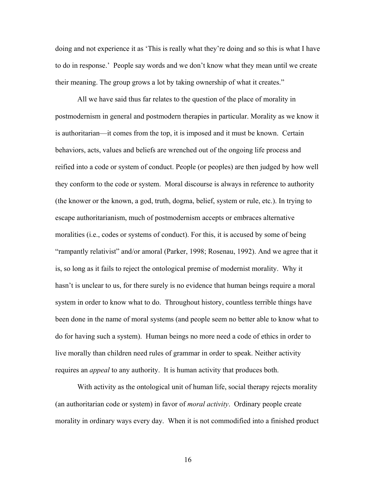doing and not experience it as 'This is really what they're doing and so this is what I have to do in response.' People say words and we don't know what they mean until we create their meaning. The group grows a lot by taking ownership of what it creates."

All we have said thus far relates to the question of the place of morality in postmodernism in general and postmodern therapies in particular. Morality as we know it is authoritarian—it comes from the top, it is imposed and it must be known. Certain behaviors, acts, values and beliefs are wrenched out of the ongoing life process and reified into a code or system of conduct. People (or peoples) are then judged by how well they conform to the code or system. Moral discourse is always in reference to authority (the knower or the known, a god, truth, dogma, belief, system or rule, etc.). In trying to escape authoritarianism, much of postmodernism accepts or embraces alternative moralities (i.e., codes or systems of conduct). For this, it is accused by some of being "rampantly relativist" and/or amoral (Parker, 1998; Rosenau, 1992). And we agree that it is, so long as it fails to reject the ontological premise of modernist morality. Why it hasn't is unclear to us, for there surely is no evidence that human beings require a moral system in order to know what to do. Throughout history, countless terrible things have been done in the name of moral systems (and people seem no better able to know what to do for having such a system). Human beings no more need a code of ethics in order to live morally than children need rules of grammar in order to speak. Neither activity requires an *appeal* to any authority. It is human activity that produces both.

With activity as the ontological unit of human life, social therapy rejects morality (an authoritarian code or system) in favor of *moral activity*. Ordinary people create morality in ordinary ways every day. When it is not commodified into a finished product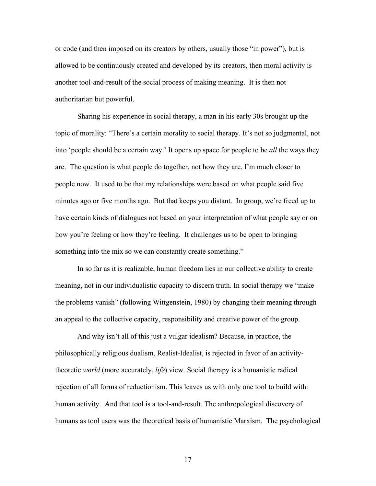or code (and then imposed on its creators by others, usually those "in power"), but is allowed to be continuously created and developed by its creators, then moral activity is another tool-and-result of the social process of making meaning. It is then not authoritarian but powerful.

Sharing his experience in social therapy, a man in his early 30s brought up the topic of morality: "There's a certain morality to social therapy. It's not so judgmental, not into 'people should be a certain way.' It opens up space for people to be *all* the ways they are. The question is what people do together, not how they are. I'm much closer to people now. It used to be that my relationships were based on what people said five minutes ago or five months ago. But that keeps you distant. In group, we're freed up to have certain kinds of dialogues not based on your interpretation of what people say or on how you're feeling or how they're feeling. It challenges us to be open to bringing something into the mix so we can constantly create something."

In so far as it is realizable, human freedom lies in our collective ability to create meaning, not in our individualistic capacity to discern truth. In social therapy we "make the problems vanish" (following Wittgenstein, 1980) by changing their meaning through an appeal to the collective capacity, responsibility and creative power of the group.

And why isn't all of this just a vulgar idealism? Because, in practice, the philosophically religious dualism, Realist-Idealist, is rejected in favor of an activitytheoretic *world* (more accurately, *life*) view. Social therapy is a humanistic radical rejection of all forms of reductionism. This leaves us with only one tool to build with: human activity. And that tool is a tool-and-result. The anthropological discovery of humans as tool users was the theoretical basis of humanistic Marxism. The psychological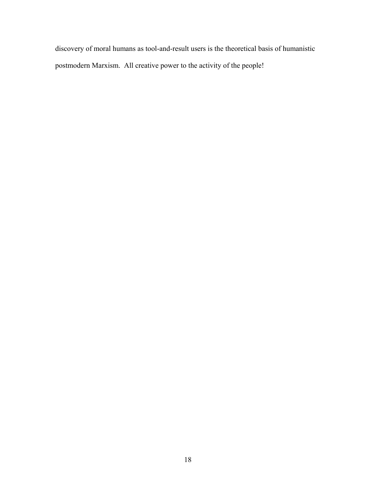discovery of moral humans as tool-and-result users is the theoretical basis of humanistic postmodern Marxism. All creative power to the activity of the people!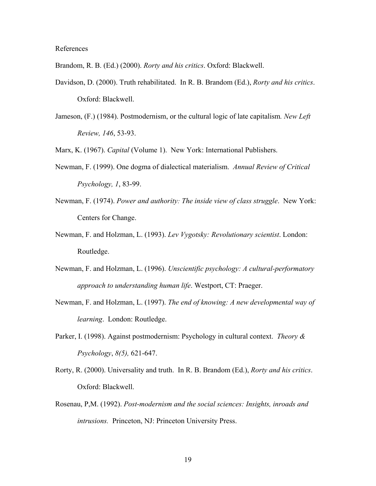References

Brandom, R. B. (Ed.) (2000). *Rorty and his critics*. Oxford: Blackwell.

- Davidson, D. (2000). Truth rehabilitated. In R. B. Brandom (Ed.), *Rorty and his critics*. Oxford: Blackwell.
- Jameson, (F.) (1984). Postmodernism, or the cultural logic of late capitalism*. New Left Review, 146*, 53-93.

Marx, K. (1967). *Capital* (Volume 1). New York: International Publishers.

- Newman, F. (1999). One dogma of dialectical materialism. *Annual Review of Critical Psychology, 1*, 83-99.
- Newman, F. (1974). *Power and authority: The inside view of class struggle*. New York: Centers for Change.
- Newman, F. and Holzman, L. (1993). *Lev Vygotsky: Revolutionary scientist*. London: Routledge.
- Newman, F. and Holzman, L. (1996). *Unscientific psychology: A cultural-performatory approach to understanding human life*. Westport, CT: Praeger.
- Newman, F. and Holzman, L. (1997). *The end of knowing: A new developmental way of learning*. London: Routledge.
- Parker, I. (1998). Against postmodernism: Psychology in cultural context.*Theory & Psychology*, *8(5),* 621-647.
- Rorty, R. (2000). Universality and truth. In R. B. Brandom (Ed.), *Rorty and his critics*. Oxford: Blackwell.
- Rosenau, P,M. (1992). *Post-modernism and the social sciences: Insights, inroads and intrusions.* Princeton, NJ: Princeton University Press.